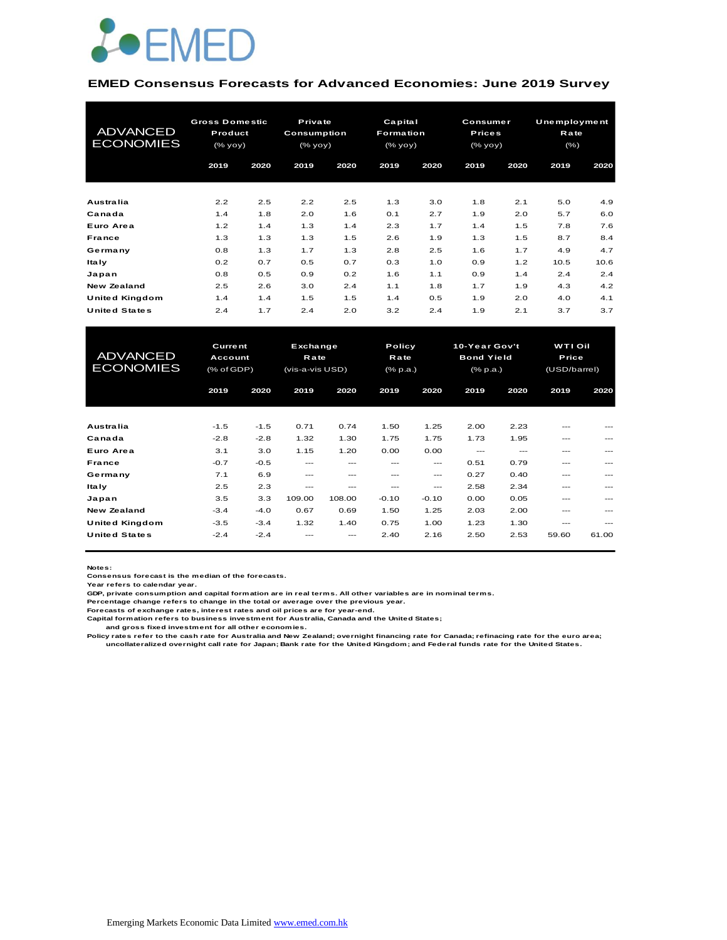

#### **EMED Consensus Forecasts for Advanced Economies: June 2019 Survey**

| <b>ADVANCED</b><br><b>ECONOMIES</b> | <b>Gross Domestic</b><br>Product<br>(% yoy) |      | Private<br><b>Consumption</b><br>(% |      | Capital<br>Formation<br>(% yoy) |      |      | Consumer<br><b>Prices</b><br>(% |      | <b>Unemployment</b><br>Rate<br>$(\% )$ |
|-------------------------------------|---------------------------------------------|------|-------------------------------------|------|---------------------------------|------|------|---------------------------------|------|----------------------------------------|
|                                     | 2019                                        | 2020 | 2019                                | 2020 | 2019                            | 2020 | 2019 | 2020                            | 2019 | 2020                                   |
| <b>Australia</b>                    | 2.2                                         | 2.5  | 2.2                                 | 2.5  | 1.3                             | 3.0  | 1.8  | 2.1                             | 5.0  | 4.9                                    |
| Canada                              | 1.4                                         | 1.8  | 2.0                                 | 1.6  | 0.1                             | 2.7  | 1.9  | 2.0                             | 5.7  | 6.0                                    |
| Euro Area                           | 1.2                                         | 1.4  | 1.3                                 | 1.4  | 2.3                             | 1.7  | 1.4  | 1.5                             | 7.8  | 7.6                                    |
| France                              | 1.3                                         | 1.3  | 1.3                                 | 1.5  | 2.6                             | 1.9  | 1.3  | 1.5                             | 8.7  | 8.4                                    |
| Germany                             | 0.8                                         | 1.3  | 1.7                                 | 1.3  | 2.8                             | 2.5  | 1.6  | 1.7                             | 4.9  | 4.7                                    |
| <b>Italy</b>                        | 0.2                                         | 0.7  | 0.5                                 | 0.7  | 0.3                             | 1.0  | 0.9  | 1.2                             | 10.5 | 10.6                                   |
| Japan                               | 0.8                                         | 0.5  | 0.9                                 | 0.2  | 1.6                             | 1.1  | 0.9  | 1.4                             | 2.4  | 2.4                                    |
| <b>New Zealand</b>                  | 2.5                                         | 2.6  | 3.0                                 | 2.4  | 1.1                             | 1.8  | 1.7  | 1.9                             | 4.3  | 4.2                                    |
| United Kingdom                      | 1.4                                         | 1.4  | 1.5                                 | 1.5  | 1.4                             | 0.5  | 1.9  | 2.0                             | 4.0  | 4.1                                    |
| <b>United States</b>                | 2.4                                         | 1.7  | 2.4                                 | 2.0  | 3.2                             | 2.4  | 1.9  | 2.1                             | 3.7  | 3.7                                    |

| United Kingdom                      | 1.4                                                       | 1.4    | 1.5                                 | 1.5    | 1.4                        | 0.5     | 1.9                                            | 2.0   | 4.0                                     | 4.1     |  |
|-------------------------------------|-----------------------------------------------------------|--------|-------------------------------------|--------|----------------------------|---------|------------------------------------------------|-------|-----------------------------------------|---------|--|
| United States                       | 2.4                                                       | 1.7    | 2.4                                 | 2.0    | 3.2                        | 2.4     | 1.9                                            | 2.1   | 3.7                                     | 3.7     |  |
|                                     |                                                           |        |                                     |        |                            |         |                                                |       |                                         |         |  |
| <b>ADVANCED</b><br><b>ECONOMIES</b> | <b>Current</b><br><b>Account</b><br>$(% ^{66}$ (% of GDP) |        | Exchange<br>Rate<br>(vis-a-vis USD) |        | Policy<br>Rate<br>(% p.a.) |         | 10-Year Gov't<br><b>Bond Yield</b><br>(% p.a.) |       | <b>WTI Oil</b><br>Price<br>(USD/barrel) |         |  |
|                                     | 2019                                                      | 2020   | 2019                                | 2020   | 2019                       | 2020    | 2019                                           | 2020  | 2019                                    | 2020    |  |
|                                     |                                                           |        |                                     |        |                            |         |                                                |       |                                         |         |  |
| <b>Australia</b>                    | $-1.5$                                                    | $-1.5$ | 0.71                                | 0.74   | 1.50                       | 1.25    | 2.00                                           | 2.23  | ---                                     |         |  |
| Canada                              | $-2.8$                                                    | $-2.8$ | 1.32                                | 1.30   | 1.75                       | 1.75    | 1.73                                           | 1.95  | ---                                     | $---$   |  |
| Euro Area                           | 3.1                                                       | 3.0    | 1.15                                | 1.20   | 0.00                       | 0.00    | $---$                                          | $---$ | ---                                     |         |  |
| France                              | $-0.7$                                                    | $-0.5$ | ---                                 | ---    | ---                        | $---$   | 0.51                                           | 0.79  | ---                                     |         |  |
| Germany                             | 7.1                                                       | 6.9    | $---$                               |        |                            | ---     | 0.27                                           | 0.40  |                                         |         |  |
| <b>Italy</b>                        | 2.5                                                       | 2.3    | ---                                 | ---    | ---                        | ---     | 2.58                                           | 2.34  | ---                                     | ---     |  |
| Japan                               | 3.5                                                       | 3.3    | 109.00                              | 108.00 | $-0.10$                    | $-0.10$ | 0.00                                           | 0.05  | $- - -$                                 | $---$   |  |
| <b>New Zealand</b>                  | $-3.4$                                                    | $-4.0$ | 0.67                                | 0.69   | 1.50                       | 1.25    | 2.03                                           | 2.00  | ---                                     |         |  |
| United Kingdom                      | $-3.5$                                                    | $-3.4$ | 1.32                                | 1.40   | 0.75                       | 1.00    | 1.23                                           | 1.30  | $- - -$                                 | $- - -$ |  |
| <b>United States</b>                | $-2.4$                                                    | $-2.4$ |                                     |        | 2.40                       | 2.16    | 2.50                                           | 2.53  | 59.60                                   | 61.00   |  |

**Notes:** 

**Consensus forecast is the median of the forecasts.**

**Year refers to calendar year.**

**GDP, private consumption and capital formation are in real terms. All other variables are in nominal terms.**

**Percentage change refers to change in the total or average over the previous year.**

**Forecasts of exchange rates, interest rates and oil prices are for year-end.**

**Capital formation refers to business investment for Australia, Canada and the United States; and gross fixed investment for all other economies.**

**Policy rates refer to the cash rate for Australia and New Zealand; overnight financing rate for Canada; refinacing rate for the euro area; uncollateralized overnight call rate for Japan; Bank rate for the United Kingdom; and Federal funds rate for the United States.**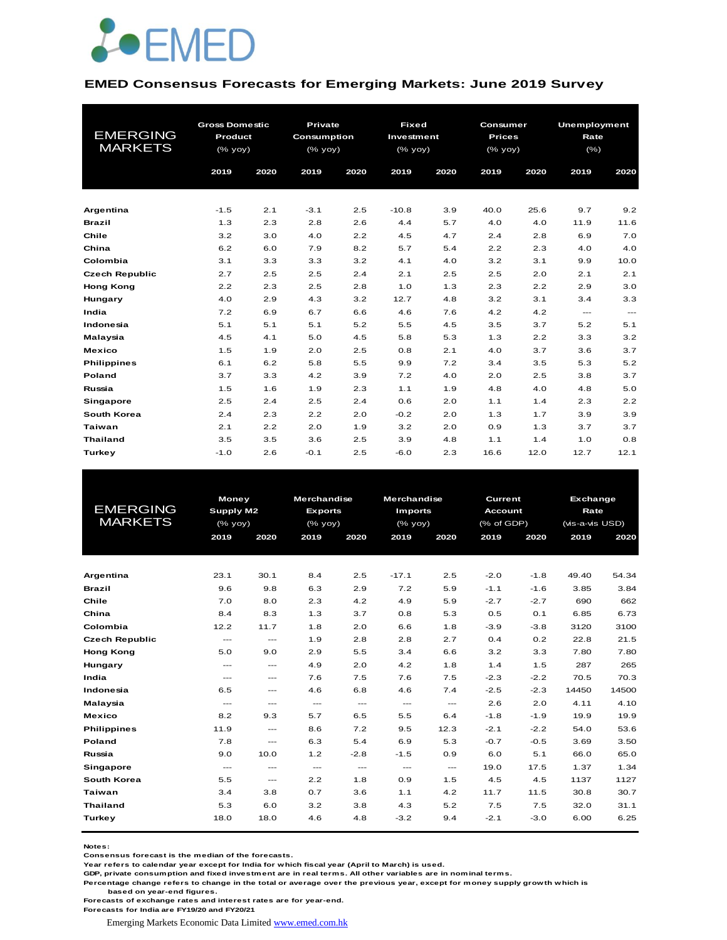

#### **EMED Consensus Forecasts for Emerging Markets: June 2019 Survey**

|                       | <b>Gross Domestic</b> |      | Private     |      | <b>Fixed</b> |      | Consumer      |      | <b>Unemployment</b> |                          |  |
|-----------------------|-----------------------|------|-------------|------|--------------|------|---------------|------|---------------------|--------------------------|--|
| <b>EMERGING</b>       | Product               |      | Consumption |      | Investment   |      | <b>Prices</b> |      | Rate                |                          |  |
| <b>MARKETS</b>        | (% yoy)               |      | (% yoy)     |      | (% yoy)      |      | $(%$ (% yoy)  |      | $(\% )$             |                          |  |
|                       |                       |      |             |      |              |      |               |      |                     |                          |  |
|                       | 2019                  | 2020 | 2019        | 2020 | 2019         | 2020 | 2019          | 2020 | 2019                | 2020                     |  |
|                       |                       |      |             |      |              |      |               |      |                     |                          |  |
|                       |                       |      |             |      |              |      |               |      |                     |                          |  |
| Argentina             | $-1.5$                | 2.1  | $-3.1$      | 2.5  | $-10.8$      | 3.9  | 40.0          | 25.6 | 9.7                 | 9.2                      |  |
| <b>Brazil</b>         | 1.3                   | 2.3  | 2.8         | 2.6  | 4.4          | 5.7  | 4.0           | 4.0  | 11.9                | 11.6                     |  |
| Chile                 | 3.2                   | 3.0  | 4.0         | 2.2  | 4.5          | 4.7  | 2.4           | 2.8  | 6.9                 | 7.0                      |  |
| China                 | 6.2                   | 6.0  | 7.9         | 8.2  | 5.7          | 5.4  | 2.2           | 2.3  | 4.0                 | 4.0                      |  |
| Colombia              | 3.1                   | 3.3  | 3.3         | 3.2  | 4.1          | 4.0  | 3.2           | 3.1  | 9.9                 | 10.0                     |  |
| <b>Czech Republic</b> | 2.7                   | 2.5  | 2.5         | 2.4  | 2.1          | 2.5  | 2.5           | 2.0  | 2.1                 | 2.1                      |  |
| <b>Hong Kong</b>      | 2.2                   | 2.3  | 2.5         | 2.8  | 1.0          | 1.3  | 2.3           | 2.2  | 2.9                 | 3.0                      |  |
| Hungary               | 4.0                   | 2.9  | 4.3         | 3.2  | 12.7         | 4.8  | 3.2           | 3.1  | 3.4                 | 3.3                      |  |
| India                 | 7.2                   | 6.9  | 6.7         | 6.6  | 4.6          | 7.6  | 4.2           | 4.2  | $\cdots$            | $\hspace{0.05cm} \ldots$ |  |
| Indonesia             | 5.1                   | 5.1  | 5.1         | 5.2  | 5.5          | 4.5  | 3.5           | 3.7  | 5.2                 | 5.1                      |  |
| Malaysia              | 4.5                   | 4.1  | 5.0         | 4.5  | 5.8          | 5.3  | 1.3           | 2.2  | 3.3                 | 3.2                      |  |
| <b>Mexico</b>         | 1.5                   | 1.9  | 2.0         | 2.5  | 0.8          | 2.1  | 4.0           | 3.7  | 3.6                 | 3.7                      |  |
| <b>Philippines</b>    | 6.1                   | 6.2  | 5.8         | 5.5  | 9.9          | 7.2  | 3.4           | 3.5  | 5.3                 | 5.2                      |  |
| Poland                | 3.7                   | 3.3  | 4.2         | 3.9  | 7.2          | 4.0  | 2.0           | 2.5  | 3.8                 | 3.7                      |  |
| Russia                | 1.5                   | 1.6  | 1.9         | 2.3  | 1.1          | 1.9  | 4.8           | 4.0  | 4.8                 | 5.0                      |  |
| <b>Singapore</b>      | 2.5                   | 2.4  | 2.5         | 2.4  | 0.6          | 2.0  | 1.1           | 1.4  | 2.3                 | 2.2                      |  |
| South Korea           | 2.4                   | 2.3  | 2.2         | 2.0  | $-0.2$       | 2.0  | 1.3           | 1.7  | 3.9                 | 3.9                      |  |
| <b>Taiwan</b>         | 2.1                   | 2.2  | 2.0         | 1.9  | 3.2          | 2.0  | 0.9           | 1.3  | 3.7                 | 3.7                      |  |
| <b>Thailand</b>       | 3.5                   | 3.5  | 3.6         | 2.5  | 3.9          | 4.8  | 1.1           | 1.4  | 1.0                 | 0.8                      |  |
| Turkey                | $-1.0$                | 2.6  | $-0.1$      | 2.5  | $-6.0$       | 2.3  | 16.6          | 12.0 | 12.7                | 12.1                     |  |

|                       | <b>Money</b>         |                                     | <b>Merchandise</b>   |                        | <b>Merchandise</b>     |                        | Current        |        | Exchange        |       |  |  |  |
|-----------------------|----------------------|-------------------------------------|----------------------|------------------------|------------------------|------------------------|----------------|--------|-----------------|-------|--|--|--|
| <b>EMERGING</b>       | Supply M2            |                                     | <b>Exports</b>       |                        | <b>Imports</b>         |                        | <b>Account</b> |        |                 | Rate  |  |  |  |
| <b>MARKETS</b>        |                      | $(%$ yoy)                           |                      | $(%$ (% yoy)           | $(\%$ yoy)             |                        | (% of GDP)     |        | (vis-a-vis USD) |       |  |  |  |
|                       | 2019                 | 2020                                | 2019                 | 2020                   | 2019                   | 2020                   | 2019           | 2020   | 2019            | 2020  |  |  |  |
|                       |                      |                                     |                      |                        |                        |                        |                |        |                 |       |  |  |  |
|                       |                      |                                     |                      |                        |                        |                        |                |        |                 |       |  |  |  |
| Argentina             | 23.1                 | 30.1                                | 8.4                  | 2.5                    | $-17.1$                | 2.5                    | $-2.0$         | $-1.8$ | 49.40           | 54.34 |  |  |  |
| <b>Brazil</b>         | 9.6                  | 9.8                                 | 6.3                  | 2.9                    | 7.2                    | 5.9                    | $-1.1$         | $-1.6$ | 3.85            | 3.84  |  |  |  |
| Chile                 | 7.0                  | 8.0                                 | 2.3                  | 4.2                    | 4.9                    | 5.9                    | $-2.7$         | $-2.7$ | 690             | 662   |  |  |  |
| China                 | 8.4                  | 8.3                                 | 1.3                  | 3.7                    | 0.8                    | 5.3                    | 0.5            | 0.1    | 6.85            | 6.73  |  |  |  |
| Colombia              | 12.2                 | 11.7                                | 1.8                  | 2.0                    | 6.6                    | 1.8                    | $-3.9$         | $-3.8$ | 3120            | 3100  |  |  |  |
| <b>Czech Republic</b> | $\sim$ $\sim$ $\sim$ | $\hspace{0.05cm}---\hspace{0.05cm}$ | 1.9                  | 2.8                    | 2.8                    | 2.7                    | 0.4            | 0.2    | 22.8            | 21.5  |  |  |  |
| <b>Hong Kong</b>      | 5.0                  | 9.0                                 | 2.9                  | 5.5                    | 3.4                    | 6.6                    | 3.2            | 3.3    | 7.80            | 7.80  |  |  |  |
| Hungary               | $\sim$ $\sim$ $\sim$ | $\cdots$                            | 4.9                  | 2.0                    | 4.2                    | 1.8                    | 1.4            | 1.5    | 287             | 265   |  |  |  |
| India                 | $---$                | $\sim$ $\sim$ $\sim$                | 7.6                  | 7.5                    | 7.6                    | 7.5                    | $-2.3$         | $-2.2$ | 70.5            | 70.3  |  |  |  |
| Indonesia             | 6.5                  | $---$                               | 4.6                  | 6.8                    | 4.6                    | 7.4                    | $-2.5$         | $-2.3$ | 14450           | 14500 |  |  |  |
| Malaysia              | $\cdots$             | $\cdots$                            | $\qquad \qquad -$    | $\qquad \qquad \cdots$ | $\qquad \qquad \cdots$ | $\qquad \qquad \cdots$ | 2.6            | 2.0    | 4.11            | 4.10  |  |  |  |
| <b>Mexico</b>         | 8.2                  | 9.3                                 | 5.7                  | 6.5                    | 5.5                    | 6.4                    | $-1.8$         | $-1.9$ | 19.9            | 19.9  |  |  |  |
| <b>Philippines</b>    | 11.9                 | $\hspace{0.05cm}---\hspace{0.05cm}$ | 8.6                  | 7.2                    | 9.5                    | 12.3                   | $-2.1$         | $-2.2$ | 54.0            | 53.6  |  |  |  |
| Poland                | 7.8                  | $\cdots$                            | 6.3                  | 5.4                    | 6.9                    | 5.3                    | $-0.7$         | $-0.5$ | 3.69            | 3.50  |  |  |  |
| Russia                | 9.0                  | 10.0                                | 1.2                  | $-2.8$                 | $-1.5$                 | 0.9                    | 6.0            | 5.1    | 66.0            | 65.0  |  |  |  |
| Singapore             | $\sim$ $\sim$ $\sim$ | $\sim$ $\sim$ $\sim$                | $\sim$ $\sim$ $\sim$ | $\frac{1}{2}$          | $\sim$ $\sim$          | $\frac{1}{2}$          | 19.0           | 17.5   | 1.37            | 1.34  |  |  |  |
| South Korea           | 5.5                  | $\sim$ $\sim$ $\sim$                | 2.2                  | 1.8                    | 0.9                    | 1.5                    | 4.5            | 4.5    | 1137            | 1127  |  |  |  |
| Taiwan                | 3.4                  | 3.8                                 | 0.7                  | 3.6                    | 1.1                    | 4.2                    | 11.7           | 11.5   | 30.8            | 30.7  |  |  |  |
| <b>Thailand</b>       | 5.3                  | 6.0                                 | 3.2                  | 3.8                    | 4.3                    | 5.2                    | 7.5            | 7.5    | 32.0            | 31.1  |  |  |  |
| Turkey                | 18.0                 | 18.0                                | 4.6                  | 4.8                    | $-3.2$                 | 9.4                    | $-2.1$         | $-3.0$ | 6.00            | 6.25  |  |  |  |
|                       |                      |                                     |                      |                        |                        |                        |                |        |                 |       |  |  |  |

**Notes:** 

**Consensus forecast is the median of the forecasts.**

**Year refers to calendar year except for India for which fiscal year (April to March) is used.**

**GDP, private consumption and fixed investment are in real terms. All other variables are in nominal terms.**

**Percentage change refers to change in the total or average over the previous year, except for money supply growth which is based on year-end figures.**

**Forecasts of exchange rates and interest rates are for year-end.**

**Forecasts for India are FY19/20 and FY20/21**

Emerging Markets Economic Data Limited www.emed.com.hk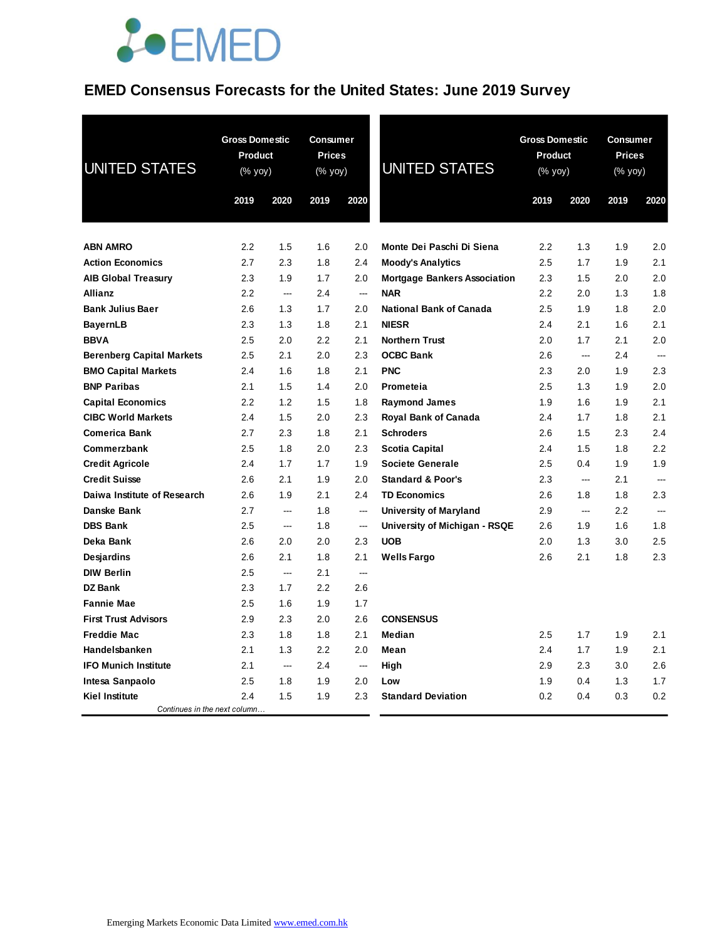## **EMED Consensus Forecasts for the United States: June 2019 Survey**

| <b>UNITED STATES</b>                         |            | <b>Gross Domestic</b><br><b>Consumer</b><br><b>Prices</b><br>Product<br>$(% \mathsf{Y}^{\prime }\mathsf{Y}^{\prime }\mathsf{Y}^{\prime })$<br>$(% \mathsf{Y}^{\prime }\mathsf{Y}^{\prime }\mathsf{Y}^{\prime })$ |            |                                 | <b>UNITED STATES</b>                              | <b>Gross Domestic</b><br>Product<br>$(% \mathsf{Y}^{\prime }\mathsf{Y}^{\prime }\mathsf{Y}^{\prime })$ |            | Consumer<br><b>Prices</b><br>(% yoy) |            |
|----------------------------------------------|------------|------------------------------------------------------------------------------------------------------------------------------------------------------------------------------------------------------------------|------------|---------------------------------|---------------------------------------------------|--------------------------------------------------------------------------------------------------------|------------|--------------------------------------|------------|
|                                              | 2019       | 2020                                                                                                                                                                                                             | 2019       | 2020                            |                                                   | 2019                                                                                                   | 2020       | 2019                                 | 2020       |
|                                              |            |                                                                                                                                                                                                                  |            |                                 |                                                   |                                                                                                        |            |                                      |            |
| <b>ABN AMRO</b>                              | 2.2        | 1.5                                                                                                                                                                                                              | 1.6        | 2.0                             | Monte Dei Paschi Di Siena                         | 2.2                                                                                                    | 1.3        | 1.9                                  | 2.0        |
| <b>Action Economics</b>                      | 2.7        | 2.3                                                                                                                                                                                                              | 1.8        | 2.4                             | <b>Moody's Analytics</b>                          | 2.5                                                                                                    | 1.7        | 1.9                                  | 2.1<br>2.0 |
| <b>AIB Global Treasury</b><br><b>Allianz</b> | 2.3<br>2.2 | 1.9<br>$\overline{\phantom{a}}$                                                                                                                                                                                  | 1.7<br>2.4 | 2.0<br>$\overline{\phantom{a}}$ | <b>Mortgage Bankers Association</b><br><b>NAR</b> | 2.3<br>2.2                                                                                             | 1.5<br>2.0 | 2.0<br>1.3                           | 1.8        |
| <b>Bank Julius Baer</b>                      | 2.6        | 1.3                                                                                                                                                                                                              | 1.7        | 2.0                             | <b>National Bank of Canada</b>                    | 2.5                                                                                                    | 1.9        | 1.8                                  | 2.0        |
| <b>BayernLB</b>                              | 2.3        | 1.3                                                                                                                                                                                                              | 1.8        | 2.1                             | <b>NIESR</b>                                      | 2.4                                                                                                    | 2.1        | 1.6                                  | 2.1        |
| <b>BBVA</b>                                  | 2.5        | 2.0                                                                                                                                                                                                              | 2.2        | 2.1                             | <b>Northern Trust</b>                             | 2.0                                                                                                    | 1.7        | 2.1                                  | 2.0        |
| <b>Berenberg Capital Markets</b>             | 2.5        | 2.1                                                                                                                                                                                                              | 2.0        | 2.3                             | <b>OCBC Bank</b>                                  | 2.6                                                                                                    | $\sim$     | 2.4                                  | $\sim$     |
| <b>BMO Capital Markets</b>                   | 2.4        | 1.6                                                                                                                                                                                                              | 1.8        | 2.1                             | <b>PNC</b>                                        | 2.3                                                                                                    | 2.0        | 1.9                                  | 2.3        |
| <b>BNP Paribas</b>                           | 2.1        | 1.5                                                                                                                                                                                                              | 1.4        | 2.0                             | Prometeia                                         | 2.5                                                                                                    | 1.3        | 1.9                                  | 2.0        |
| <b>Capital Economics</b>                     | 2.2        | 1.2                                                                                                                                                                                                              | 1.5        | 1.8                             | <b>Raymond James</b>                              | 1.9                                                                                                    | 1.6        | 1.9                                  | 2.1        |
| <b>CIBC World Markets</b>                    | 2.4        | 1.5                                                                                                                                                                                                              | 2.0        | 2.3                             | <b>Royal Bank of Canada</b>                       | 2.4                                                                                                    | 1.7        | 1.8                                  | 2.1        |
| <b>Comerica Bank</b>                         | 2.7        | 2.3                                                                                                                                                                                                              | 1.8        | 2.1                             | <b>Schroders</b>                                  | 2.6                                                                                                    | 1.5        | 2.3                                  | 2.4        |
| Commerzbank                                  | 2.5        | 1.8                                                                                                                                                                                                              | 2.0        | 2.3                             | Scotia Capital                                    | 2.4                                                                                                    | 1.5        | 1.8                                  | 2.2        |
| <b>Credit Agricole</b>                       | 2.4        | 1.7                                                                                                                                                                                                              | 1.7        | 1.9                             | <b>Societe Generale</b>                           | 2.5                                                                                                    | 0.4        | 1.9                                  | 1.9        |
| <b>Credit Suisse</b>                         | 2.6        | 2.1                                                                                                                                                                                                              | 1.9        | 2.0                             | <b>Standard &amp; Poor's</b>                      | 2.3                                                                                                    | $\sim$     | 2.1                                  |            |
| Daiwa Institute of Research                  | 2.6        | 1.9                                                                                                                                                                                                              | 2.1        | 2.4                             | <b>TD Economics</b>                               | 2.6                                                                                                    | 1.8        | 1.8                                  | 2.3        |
| Danske Bank                                  | 2.7        | ---                                                                                                                                                                                                              | 1.8        | ---                             | <b>University of Maryland</b>                     | 2.9                                                                                                    | ---        | 2.2                                  |            |
| <b>DBS Bank</b>                              | 2.5        | ---                                                                                                                                                                                                              | 1.8        | ---                             | University of Michigan - RSQE                     | 2.6                                                                                                    | 1.9        | 1.6                                  | 1.8        |
| Deka Bank                                    | 2.6        | 2.0                                                                                                                                                                                                              | 2.0        | 2.3                             | <b>UOB</b>                                        | 2.0                                                                                                    | 1.3        | 3.0                                  | 2.5        |
| <b>Desjardins</b>                            | 2.6        | 2.1                                                                                                                                                                                                              | 1.8        | 2.1                             | <b>Wells Fargo</b>                                | 2.6                                                                                                    | 2.1        | 1.8                                  | 2.3        |
| <b>DIW Berlin</b>                            | 2.5        | $\sim$                                                                                                                                                                                                           | 2.1        | ---                             |                                                   |                                                                                                        |            |                                      |            |
| DZ Bank                                      | 2.3        | 1.7                                                                                                                                                                                                              | 2.2        | 2.6                             |                                                   |                                                                                                        |            |                                      |            |
| <b>Fannie Mae</b>                            | 2.5        | 1.6                                                                                                                                                                                                              | 1.9        | 1.7                             |                                                   |                                                                                                        |            |                                      |            |
| <b>First Trust Advisors</b>                  | 2.9        | 2.3                                                                                                                                                                                                              | 2.0        | 2.6                             | <b>CONSENSUS</b>                                  |                                                                                                        |            |                                      |            |
| <b>Freddie Mac</b>                           | 2.3        | 1.8                                                                                                                                                                                                              | 1.8        | 2.1                             | Median                                            | 2.5                                                                                                    | 1.7        | 1.9                                  | 2.1        |
| Handelsbanken                                | 2.1        | 1.3                                                                                                                                                                                                              | 2.2        | 2.0                             | Mean                                              | 2.4                                                                                                    | 1.7        | 1.9                                  | 2.1        |
| <b>IFO Munich Institute</b>                  | 2.1        | ---                                                                                                                                                                                                              | 2.4        | $\sim$                          | High                                              | 2.9                                                                                                    | 2.3        | 3.0                                  | 2.6        |
| Intesa Sanpaolo                              | 2.5        | 1.8                                                                                                                                                                                                              | 1.9        | 2.0                             | Low                                               | 1.9                                                                                                    | 0.4        | 1.3                                  | 1.7        |
| <b>Kiel Institute</b>                        | 2.4        | 1.5                                                                                                                                                                                                              | 1.9        | 2.3                             | <b>Standard Deviation</b>                         | 0.2                                                                                                    | 0.4        | 0.3                                  | 0.2        |
| Continues in the next column                 |            |                                                                                                                                                                                                                  |            |                                 |                                                   |                                                                                                        |            |                                      |            |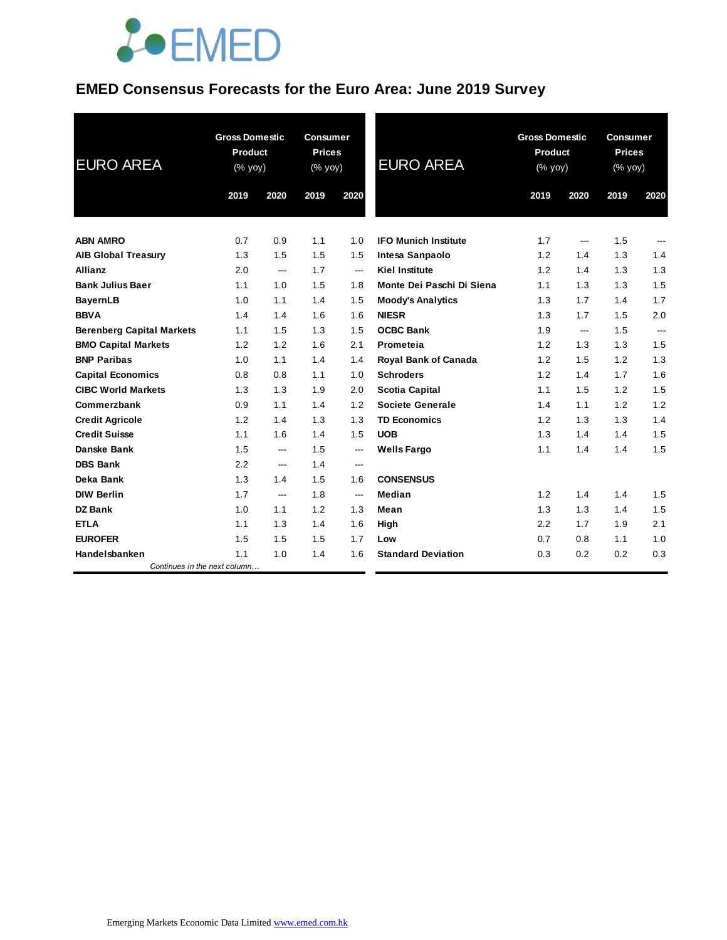### **EMED Consensus Forecasts for the Euro Area: June 2019 Survey**

| <b>EURO AREA</b>                 | <b>Gross Domestic</b><br>Product<br>(% yoy) |      | <b>Consumer</b><br><b>Prices</b><br>(% yoy) |                          | <b>EURO AREA</b>            | <b>Gross Domestic</b><br>Product<br>(% yoy) |      | <b>Consumer</b><br><b>Prices</b><br>(% yoy) |                |
|----------------------------------|---------------------------------------------|------|---------------------------------------------|--------------------------|-----------------------------|---------------------------------------------|------|---------------------------------------------|----------------|
|                                  | 2019                                        | 2020 | 2019                                        | 2020                     |                             | 2019                                        | 2020 | 2019                                        | 2020           |
| <b>ABN AMRO</b>                  | 0.7                                         | 0.9  | 1.1                                         | 1.0                      | <b>IFO Munich Institute</b> | 1.7                                         | ---  | 1.5                                         | ---            |
| <b>AIB Global Treasury</b>       | 1.3                                         | 1.5  | 1.5                                         | 1.5                      | Intesa Sanpaolo             | 1.2                                         | 1.4  | 1.3                                         | 1.4            |
| Allianz                          | 2.0                                         | ---  | 1.7                                         | $\hspace{0.05cm} \ldots$ | <b>Kiel Institute</b>       | 1.2                                         | 1.4  | 1.3                                         | 1.3            |
| <b>Bank Julius Baer</b>          | 1.1                                         | 1.0  | 1.5                                         | 1.8                      | Monte Dei Paschi Di Siena   | 1.1                                         | 1.3  | 1.3                                         | 1.5            |
| <b>BayernLB</b>                  | 1.0                                         | 1.1  | 1.4                                         | 1.5                      | <b>Moody's Analytics</b>    | 1.3                                         | 1.7  | 1.4                                         | 1.7            |
| <b>BBVA</b>                      | 1.4                                         | 1.4  | 1.6                                         | 1.6                      | <b>NIESR</b>                | 1.3                                         | 1.7  | 1.5                                         | 2.0            |
| <b>Berenberg Capital Markets</b> | 1.1                                         | 1.5  | 1.3                                         | 1.5                      | <b>OCBC Bank</b>            | 1.9                                         | ---  | 1.5                                         | $\overline{a}$ |
| <b>BMO Capital Markets</b>       | 1.2                                         | 1.2  | 1.6                                         | 2.1                      | Prometeia                   | 1.2                                         | 1.3  | 1.3                                         | 1.5            |
| <b>BNP Paribas</b>               | 1.0                                         | 1.1  | 1.4                                         | 1.4                      | <b>Royal Bank of Canada</b> | 1.2                                         | 1.5  | 1.2                                         | 1.3            |
| <b>Capital Economics</b>         | 0.8                                         | 0.8  | 1.1                                         | 1.0                      | <b>Schroders</b>            | 1.2                                         | 1.4  | 1.7                                         | 1.6            |
| <b>CIBC World Markets</b>        | 1.3                                         | 1.3  | 1.9                                         | 2.0                      | Scotia Capital              | 1.1                                         | 1.5  | 1.2                                         | 1.5            |
| Commerzbank                      | 0.9                                         | 1.1  | 1.4                                         | 1.2                      | Societe Generale            | 1.4                                         | 1.1  | 1.2                                         | 1.2            |
| <b>Credit Agricole</b>           | 1.2                                         | 1.4  | 1.3                                         | 1.3                      | <b>TD Economics</b>         | 1.2                                         | 1.3  | 1.3                                         | 1.4            |
| <b>Credit Suisse</b>             | 1.1                                         | 1.6  | 1.4                                         | 1.5                      | <b>UOB</b>                  | 1.3                                         | 1.4  | 1.4                                         | 1.5            |
| Danske Bank                      | 1.5                                         | ---  | 1.5                                         | $\hspace{0.05cm} \ldots$ | <b>Wells Fargo</b>          | 1.1                                         | 1.4  | 1.4                                         | 1.5            |
| <b>DBS Bank</b>                  | 2.2                                         | ---  | 1.4                                         | $\hspace{0.05cm} \ldots$ |                             |                                             |      |                                             |                |
| Deka Bank                        | 1.3                                         | 1.4  | 1.5                                         | 1.6                      | <b>CONSENSUS</b>            |                                             |      |                                             |                |
| <b>DIW Berlin</b>                | 1.7                                         | ---  | 1.8                                         | ---                      | <b>Median</b>               | 1.2                                         | 1.4  | 1.4                                         | 1.5            |
| <b>DZ</b> Bank                   | 1.0                                         | 1.1  | 1.2                                         | 1.3                      | Mean                        | 1.3                                         | 1.3  | 1.4                                         | 1.5            |
| <b>ETLA</b>                      | 1.1                                         | 1.3  | 1.4                                         | 1.6                      | High                        | 2.2                                         | 1.7  | 1.9                                         | 2.1            |
| <b>EUROFER</b>                   | 1.5                                         | 1.5  | 1.5                                         | 1.7                      | Low                         | 0.7                                         | 0.8  | 1.1                                         | 1.0            |
| Handelsbanken                    | 1.1                                         | 1.0  | 1.4                                         | 1.6                      | <b>Standard Deviation</b>   | 0.3                                         | 0.2  | 0.2                                         | 0.3            |
| Continues in the next column     |                                             |      |                                             |                          |                             |                                             |      |                                             |                |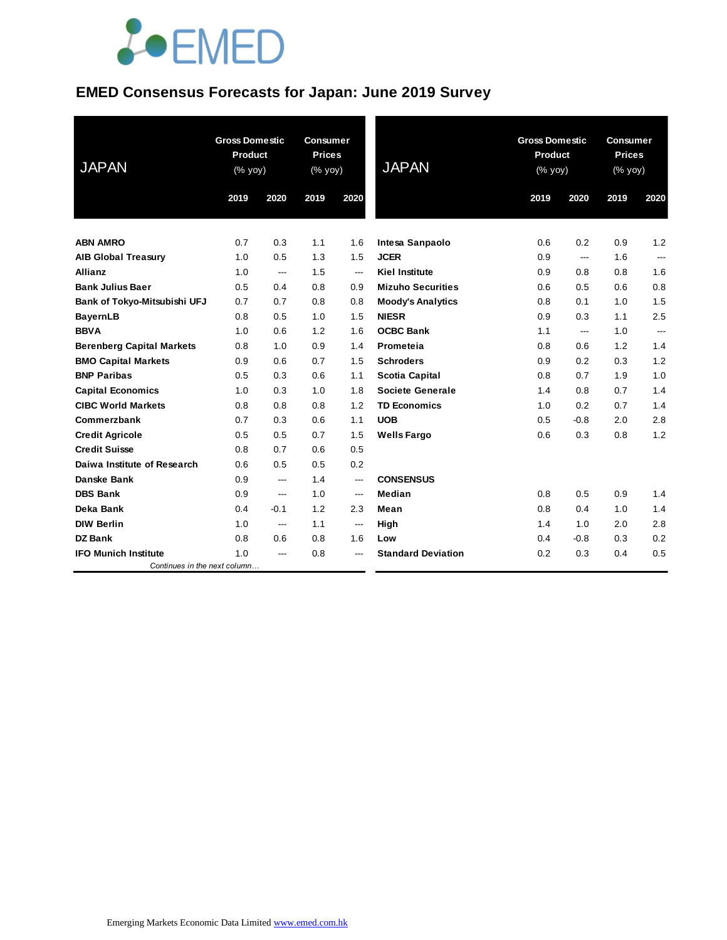#### **EMED Consensus Forecasts for Japan: June 2019 Survey**

| <b>JAPAN</b>                     | <b>Gross Domestic</b><br><b>Product</b><br>(% yoy) |        | <b>Consumer</b><br><b>Prices</b><br>$(% \mathsf{y}\right)$ (% $\overline{\mathsf{y}}$ oy) |                          | <b>JAPAN</b>              | <b>Gross Domestic</b><br><b>Product</b><br>(% yoy) |        | <b>Consumer</b><br><b>Prices</b><br>(% yoy) |                |
|----------------------------------|----------------------------------------------------|--------|-------------------------------------------------------------------------------------------|--------------------------|---------------------------|----------------------------------------------------|--------|---------------------------------------------|----------------|
|                                  | 2019                                               | 2020   | 2019                                                                                      | 2020                     |                           | 2019                                               | 2020   | 2019                                        | 2020           |
| <b>ABN AMRO</b>                  | 0.7                                                | 0.3    | 1.1                                                                                       | 1.6                      | Intesa Sanpaolo           | 0.6                                                | 0.2    | 0.9                                         | 1.2            |
| <b>AIB Global Treasury</b>       | 1.0                                                | 0.5    | 1.3                                                                                       | 1.5                      | <b>JCER</b>               | 0.9                                                | ---    | 1.6                                         | ---            |
| <b>Allianz</b>                   | 1.0                                                | ---    | 1.5                                                                                       | $---$                    | <b>Kiel Institute</b>     | 0.9                                                | 0.8    | 0.8                                         | 1.6            |
| <b>Bank Julius Baer</b>          | 0.5                                                | 0.4    | 0.8                                                                                       | 0.9                      | <b>Mizuho Securities</b>  | 0.6                                                | 0.5    | 0.6                                         | 0.8            |
| Bank of Tokyo-Mitsubishi UFJ     | 0.7                                                | 0.7    | 0.8                                                                                       | 0.8                      | <b>Moody's Analytics</b>  | 0.8                                                | 0.1    | 1.0                                         | 1.5            |
| <b>BayernLB</b>                  | 0.8                                                | 0.5    | 1.0                                                                                       | 1.5                      | <b>NIESR</b>              | 0.9                                                | 0.3    | 1.1                                         | 2.5            |
| <b>BBVA</b>                      | 1.0                                                | 0.6    | 1.2                                                                                       | 1.6                      | <b>OCBC Bank</b>          | 1.1                                                | ---    | 1.0                                         | $\overline{a}$ |
| <b>Berenberg Capital Markets</b> | 0.8                                                | 1.0    | 0.9                                                                                       | 1.4                      | Prometeia                 | 0.8                                                | 0.6    | 1.2                                         | 1.4            |
| <b>BMO Capital Markets</b>       | 0.9                                                | 0.6    | 0.7                                                                                       | 1.5                      | <b>Schroders</b>          | 0.9                                                | 0.2    | 0.3                                         | 1.2            |
| <b>BNP Paribas</b>               | 0.5                                                | 0.3    | 0.6                                                                                       | 1.1                      | <b>Scotia Capital</b>     | 0.8                                                | 0.7    | 1.9                                         | 1.0            |
| <b>Capital Economics</b>         | 1.0                                                | 0.3    | 1.0                                                                                       | 1.8                      | <b>Societe Generale</b>   | 1.4                                                | 0.8    | 0.7                                         | 1.4            |
| <b>CIBC World Markets</b>        | 0.8                                                | 0.8    | 0.8                                                                                       | 1.2                      | <b>TD Economics</b>       | 1.0                                                | 0.2    | 0.7                                         | 1.4            |
| Commerzbank                      | 0.7                                                | 0.3    | 0.6                                                                                       | 1.1                      | <b>UOB</b>                | 0.5                                                | $-0.8$ | 2.0                                         | 2.8            |
| <b>Credit Agricole</b>           | 0.5                                                | 0.5    | 0.7                                                                                       | 1.5                      | <b>Wells Fargo</b>        | 0.6                                                | 0.3    | 0.8                                         | 1.2            |
| <b>Credit Suisse</b>             | 0.8                                                | 0.7    | 0.6                                                                                       | 0.5                      |                           |                                                    |        |                                             |                |
| Daiwa Institute of Research      | 0.6                                                | 0.5    | 0.5                                                                                       | 0.2                      |                           |                                                    |        |                                             |                |
| Danske Bank                      | 0.9                                                | ---    | 1.4                                                                                       | ---                      | <b>CONSENSUS</b>          |                                                    |        |                                             |                |
| <b>DBS Bank</b>                  | 0.9                                                | ---    | 1.0                                                                                       | $\hspace{0.05cm} \ldots$ | Median                    | 0.8                                                | 0.5    | 0.9                                         | 1.4            |
| Deka Bank                        | 0.4                                                | $-0.1$ | 1.2                                                                                       | 2.3                      | Mean                      | 0.8                                                | 0.4    | 1.0                                         | 1.4            |
| <b>DIW Berlin</b>                | 1.0                                                | ---    | 1.1                                                                                       | ---                      | High                      | 1.4                                                | 1.0    | 2.0                                         | 2.8            |
| <b>DZ Bank</b>                   | 0.8                                                | 0.6    | 0.8                                                                                       | 1.6                      | Low                       | 0.4                                                | $-0.8$ | 0.3                                         | 0.2            |
| <b>IFO Munich Institute</b>      | 1.0                                                | ---    | 0.8                                                                                       | ---                      | <b>Standard Deviation</b> | 0.2                                                | 0.3    | 0.4                                         | 0.5            |
| Continues in the next column     |                                                    |        |                                                                                           |                          |                           |                                                    |        |                                             |                |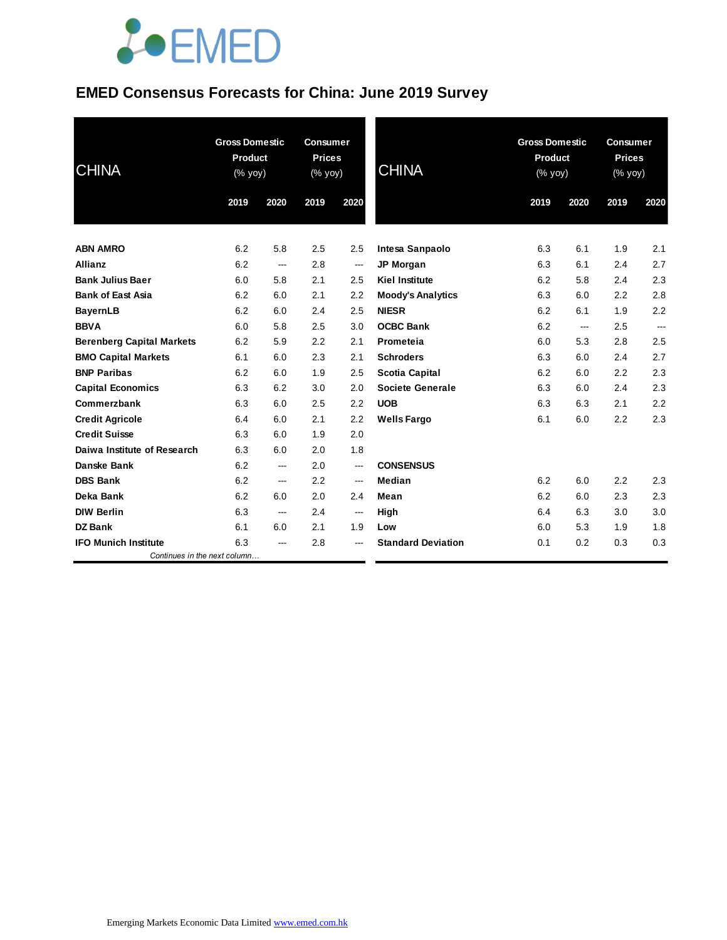### **EMED Consensus Forecasts for China: June 2019 Survey**

| <b>CHINA</b>                     |      | <b>Gross Domestic</b><br><b>Consumer</b><br><b>Product</b><br><b>Prices</b><br><b>CHINA</b><br>(% yoy)<br>(% yoy) |      |                          | <b>Gross Domestic</b><br><b>Product</b><br>(% yoy) |      | <b>Consumer</b><br><b>Prices</b><br>(% yoy) |      |      |
|----------------------------------|------|-------------------------------------------------------------------------------------------------------------------|------|--------------------------|----------------------------------------------------|------|---------------------------------------------|------|------|
|                                  | 2019 | 2020                                                                                                              | 2019 | 2020                     |                                                    | 2019 | 2020                                        | 2019 | 2020 |
| <b>ABN AMRO</b>                  | 6.2  | 5.8                                                                                                               | 2.5  | 2.5                      | Intesa Sanpaolo                                    | 6.3  | 6.1                                         | 1.9  | 2.1  |
| <b>Allianz</b>                   | 6.2  | ---                                                                                                               | 2.8  | $\hspace{0.05cm}$        | <b>JP Morgan</b>                                   | 6.3  | 6.1                                         | 2.4  | 2.7  |
| <b>Bank Julius Baer</b>          | 6.0  | 5.8                                                                                                               | 2.1  | 2.5                      | <b>Kiel Institute</b>                              | 6.2  | 5.8                                         | 2.4  | 2.3  |
| <b>Bank of East Asia</b>         | 6.2  | 6.0                                                                                                               | 2.1  | 2.2                      | <b>Moody's Analytics</b>                           | 6.3  | 6.0                                         | 2.2  | 2.8  |
| <b>BayernLB</b>                  | 6.2  | 6.0                                                                                                               | 2.4  | 2.5                      | <b>NIESR</b>                                       | 6.2  | 6.1                                         | 1.9  | 2.2  |
| <b>BBVA</b>                      | 6.0  | 5.8                                                                                                               | 2.5  | 3.0                      | <b>OCBC Bank</b>                                   | 6.2  | ---                                         | 2.5  | ---  |
| <b>Berenberg Capital Markets</b> | 6.2  | 5.9                                                                                                               | 2.2  | 2.1                      | Prometeia                                          | 6.0  | 5.3                                         | 2.8  | 2.5  |
| <b>BMO Capital Markets</b>       | 6.1  | 6.0                                                                                                               | 2.3  | 2.1                      | <b>Schroders</b>                                   | 6.3  | 6.0                                         | 2.4  | 2.7  |
| <b>BNP Paribas</b>               | 6.2  | 6.0                                                                                                               | 1.9  | 2.5                      | Scotia Capital                                     | 6.2  | 6.0                                         | 2.2  | 2.3  |
| <b>Capital Economics</b>         | 6.3  | 6.2                                                                                                               | 3.0  | 2.0                      | Societe Generale                                   | 6.3  | 6.0                                         | 2.4  | 2.3  |
| Commerzbank                      | 6.3  | 6.0                                                                                                               | 2.5  | 2.2                      | <b>UOB</b>                                         | 6.3  | 6.3                                         | 2.1  | 2.2  |
| <b>Credit Agricole</b>           | 6.4  | 6.0                                                                                                               | 2.1  | 2.2                      | <b>Wells Fargo</b>                                 | 6.1  | 6.0                                         | 2.2  | 2.3  |
| <b>Credit Suisse</b>             | 6.3  | 6.0                                                                                                               | 1.9  | 2.0                      |                                                    |      |                                             |      |      |
| Daiwa Institute of Research      | 6.3  | 6.0                                                                                                               | 2.0  | 1.8                      |                                                    |      |                                             |      |      |
| <b>Danske Bank</b>               | 6.2  | ---                                                                                                               | 2.0  | $\overline{\phantom{a}}$ | <b>CONSENSUS</b>                                   |      |                                             |      |      |
| <b>DBS Bank</b>                  | 6.2  | ---                                                                                                               | 2.2  | $\sim$                   | Median                                             | 6.2  | 6.0                                         | 2.2  | 2.3  |
| Deka Bank                        | 6.2  | 6.0                                                                                                               | 2.0  | 2.4                      | Mean                                               | 6.2  | 6.0                                         | 2.3  | 2.3  |
| <b>DIW Berlin</b>                | 6.3  | ---                                                                                                               | 2.4  | $\hspace{0.05cm}$        | High                                               | 6.4  | 6.3                                         | 3.0  | 3.0  |
| <b>DZ Bank</b>                   | 6.1  | 6.0                                                                                                               | 2.1  | 1.9                      | Low                                                | 6.0  | 5.3                                         | 1.9  | 1.8  |
| <b>IFO Munich Institute</b>      | 6.3  | ---                                                                                                               | 2.8  | ---                      | <b>Standard Deviation</b>                          | 0.1  | 0.2                                         | 0.3  | 0.3  |
| Continues in the next column     |      |                                                                                                                   |      |                          |                                                    |      |                                             |      |      |